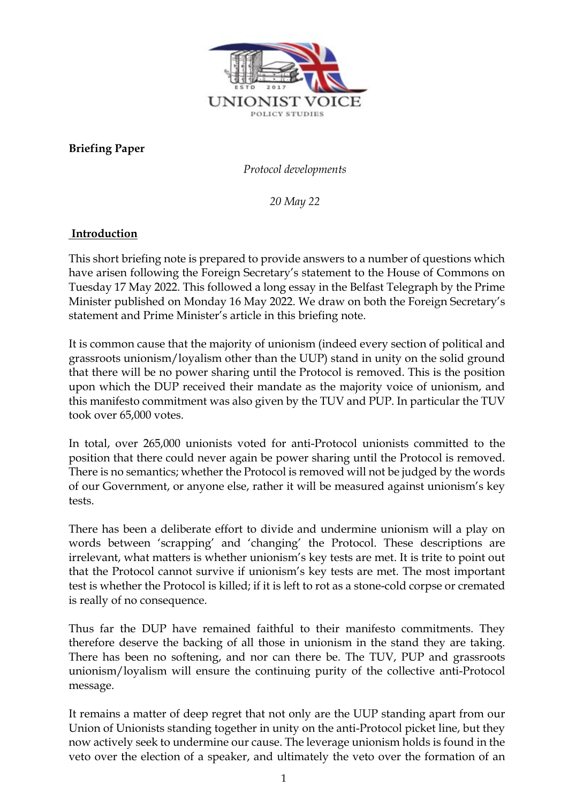

**Briefing Paper** 

*Protocol developments* 

*20 May 22*

# **Introduction**

This short briefing note is prepared to provide answers to a number of questions which have arisen following the Foreign Secretary's statement to the House of Commons on Tuesday 17 May 2022. This followed a long essay in the Belfast Telegraph by the Prime Minister published on Monday 16 May 2022. We draw on both the Foreign Secretary's statement and Prime Minister's article in this briefing note.

It is common cause that the majority of unionism (indeed every section of political and grassroots unionism/loyalism other than the UUP) stand in unity on the solid ground that there will be no power sharing until the Protocol is removed. This is the position upon which the DUP received their mandate as the majority voice of unionism, and this manifesto commitment was also given by the TUV and PUP. In particular the TUV took over 65,000 votes.

In total, over 265,000 unionists voted for anti-Protocol unionists committed to the position that there could never again be power sharing until the Protocol is removed. There is no semantics; whether the Protocol is removed will not be judged by the words of our Government, or anyone else, rather it will be measured against unionism's key tests.

There has been a deliberate effort to divide and undermine unionism will a play on words between 'scrapping' and 'changing' the Protocol. These descriptions are irrelevant, what matters is whether unionism's key tests are met. It is trite to point out that the Protocol cannot survive if unionism's key tests are met. The most important test is whether the Protocol is killed; if it is left to rot as a stone-cold corpse or cremated is really of no consequence.

Thus far the DUP have remained faithful to their manifesto commitments. They therefore deserve the backing of all those in unionism in the stand they are taking. There has been no softening, and nor can there be. The TUV, PUP and grassroots unionism/loyalism will ensure the continuing purity of the collective anti-Protocol message.

It remains a matter of deep regret that not only are the UUP standing apart from our Union of Unionists standing together in unity on the anti-Protocol picket line, but they now actively seek to undermine our cause. The leverage unionism holds is found in the veto over the election of a speaker, and ultimately the veto over the formation of an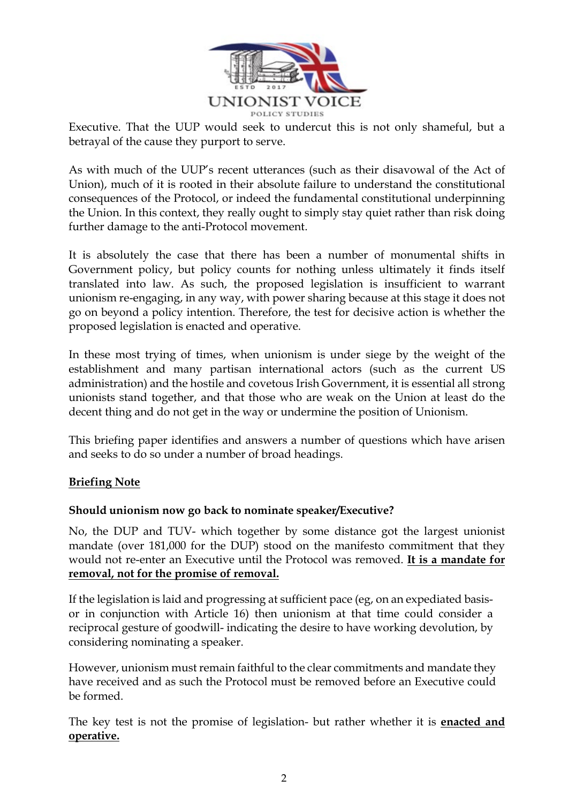

Executive. That the UUP would seek to undercut this is not only shameful, but a betrayal of the cause they purport to serve.

As with much of the UUP's recent utterances (such as their disavowal of the Act of Union), much of it is rooted in their absolute failure to understand the constitutional consequences of the Protocol, or indeed the fundamental constitutional underpinning the Union. In this context, they really ought to simply stay quiet rather than risk doing further damage to the anti-Protocol movement.

It is absolutely the case that there has been a number of monumental shifts in Government policy, but policy counts for nothing unless ultimately it finds itself translated into law. As such, the proposed legislation is insufficient to warrant unionism re-engaging, in any way, with power sharing because at this stage it does not go on beyond a policy intention. Therefore, the test for decisive action is whether the proposed legislation is enacted and operative.

In these most trying of times, when unionism is under siege by the weight of the establishment and many partisan international actors (such as the current US administration) and the hostile and covetous Irish Government, it is essential all strong unionists stand together, and that those who are weak on the Union at least do the decent thing and do not get in the way or undermine the position of Unionism.

This briefing paper identifies and answers a number of questions which have arisen and seeks to do so under a number of broad headings.

# **Briefing Note**

# **Should unionism now go back to nominate speaker/Executive?**

No, the DUP and TUV- which together by some distance got the largest unionist mandate (over 181,000 for the DUP) stood on the manifesto commitment that they would not re-enter an Executive until the Protocol was removed. **It is a mandate for removal, not for the promise of removal.**

If the legislation is laid and progressing at sufficient pace (eg, on an expediated basisor in conjunction with Article 16) then unionism at that time could consider a reciprocal gesture of goodwill- indicating the desire to have working devolution, by considering nominating a speaker.

However, unionism must remain faithful to the clear commitments and mandate they have received and as such the Protocol must be removed before an Executive could be formed.

The key test is not the promise of legislation- but rather whether it is **enacted and operative.**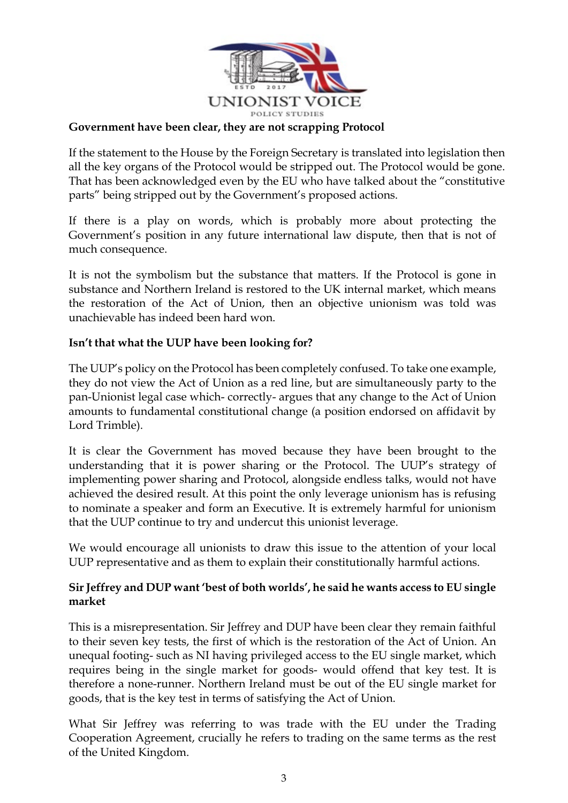

#### **Government have been clear, they are not scrapping Protocol**

If the statement to the House by the Foreign Secretary is translated into legislation then all the key organs of the Protocol would be stripped out. The Protocol would be gone. That has been acknowledged even by the EU who have talked about the "constitutive parts" being stripped out by the Government's proposed actions.

If there is a play on words, which is probably more about protecting the Government's position in any future international law dispute, then that is not of much consequence.

It is not the symbolism but the substance that matters. If the Protocol is gone in substance and Northern Ireland is restored to the UK internal market, which means the restoration of the Act of Union, then an objective unionism was told was unachievable has indeed been hard won.

#### **Isn't that what the UUP have been looking for?**

The UUP's policy on the Protocol has been completely confused. To take one example, they do not view the Act of Union as a red line, but are simultaneously party to the pan-Unionist legal case which- correctly- argues that any change to the Act of Union amounts to fundamental constitutional change (a position endorsed on affidavit by Lord Trimble).

It is clear the Government has moved because they have been brought to the understanding that it is power sharing or the Protocol. The UUP's strategy of implementing power sharing and Protocol, alongside endless talks, would not have achieved the desired result. At this point the only leverage unionism has is refusing to nominate a speaker and form an Executive. It is extremely harmful for unionism that the UUP continue to try and undercut this unionist leverage.

We would encourage all unionists to draw this issue to the attention of your local UUP representative and as them to explain their constitutionally harmful actions.

# **Sir Jeffrey and DUP want 'best of both worlds', he said he wants access to EU single market**

This is a misrepresentation. Sir Jeffrey and DUP have been clear they remain faithful to their seven key tests, the first of which is the restoration of the Act of Union. An unequal footing- such as NI having privileged access to the EU single market, which requires being in the single market for goods- would offend that key test. It is therefore a none-runner. Northern Ireland must be out of the EU single market for goods, that is the key test in terms of satisfying the Act of Union.

What Sir Jeffrey was referring to was trade with the EU under the Trading Cooperation Agreement, crucially he refers to trading on the same terms as the rest of the United Kingdom.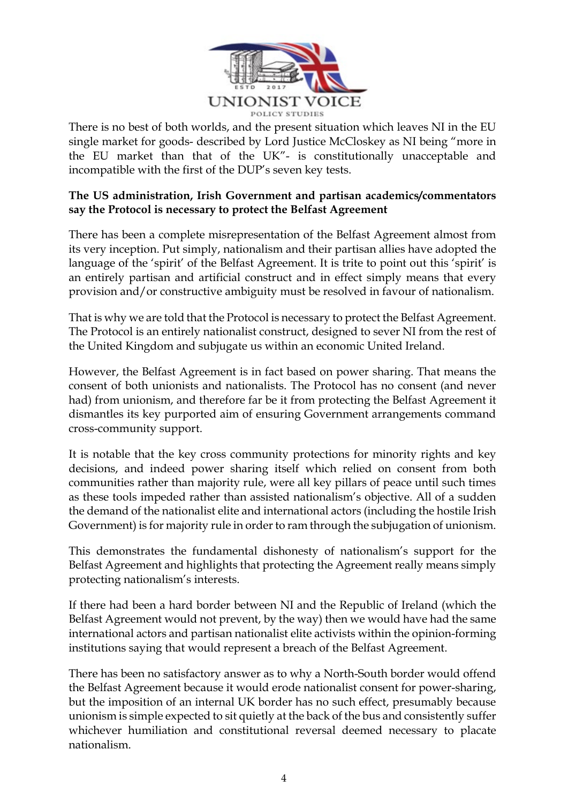

There is no best of both worlds, and the present situation which leaves NI in the EU single market for goods- described by Lord Justice McCloskey as NI being "more in the EU market than that of the UK"- is constitutionally unacceptable and incompatible with the first of the DUP's seven key tests.

## **The US administration, Irish Government and partisan academics/commentators say the Protocol is necessary to protect the Belfast Agreement**

There has been a complete misrepresentation of the Belfast Agreement almost from its very inception. Put simply, nationalism and their partisan allies have adopted the language of the 'spirit' of the Belfast Agreement. It is trite to point out this 'spirit' is an entirely partisan and artificial construct and in effect simply means that every provision and/or constructive ambiguity must be resolved in favour of nationalism.

That is why we are told that the Protocol is necessary to protect the Belfast Agreement. The Protocol is an entirely nationalist construct, designed to sever NI from the rest of the United Kingdom and subjugate us within an economic United Ireland.

However, the Belfast Agreement is in fact based on power sharing. That means the consent of both unionists and nationalists. The Protocol has no consent (and never had) from unionism, and therefore far be it from protecting the Belfast Agreement it dismantles its key purported aim of ensuring Government arrangements command cross-community support.

It is notable that the key cross community protections for minority rights and key decisions, and indeed power sharing itself which relied on consent from both communities rather than majority rule, were all key pillars of peace until such times as these tools impeded rather than assisted nationalism's objective. All of a sudden the demand of the nationalist elite and international actors (including the hostile Irish Government) is for majority rule in order to ram through the subjugation of unionism.

This demonstrates the fundamental dishonesty of nationalism's support for the Belfast Agreement and highlights that protecting the Agreement really means simply protecting nationalism's interests.

If there had been a hard border between NI and the Republic of Ireland (which the Belfast Agreement would not prevent, by the way) then we would have had the same international actors and partisan nationalist elite activists within the opinion-forming institutions saying that would represent a breach of the Belfast Agreement.

There has been no satisfactory answer as to why a North-South border would offend the Belfast Agreement because it would erode nationalist consent for power-sharing, but the imposition of an internal UK border has no such effect, presumably because unionism is simple expected to sit quietly at the back of the bus and consistently suffer whichever humiliation and constitutional reversal deemed necessary to placate nationalism.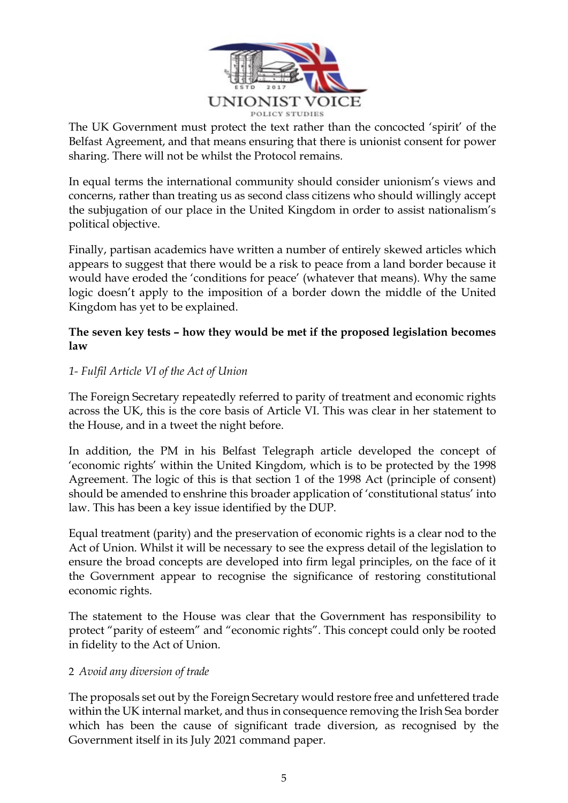

The UK Government must protect the text rather than the concocted 'spirit' of the Belfast Agreement, and that means ensuring that there is unionist consent for power sharing. There will not be whilst the Protocol remains.

In equal terms the international community should consider unionism's views and concerns, rather than treating us as second class citizens who should willingly accept the subjugation of our place in the United Kingdom in order to assist nationalism's political objective.

Finally, partisan academics have written a number of entirely skewed articles which appears to suggest that there would be a risk to peace from a land border because it would have eroded the 'conditions for peace' (whatever that means). Why the same logic doesn't apply to the imposition of a border down the middle of the United Kingdom has yet to be explained.

## **The seven key tests – how they would be met if the proposed legislation becomes law**

# *1- Fulfil Article VI of the Act of Union*

The Foreign Secretary repeatedly referred to parity of treatment and economic rights across the UK, this is the core basis of Article VI. This was clear in her statement to the House, and in a tweet the night before.

In addition, the PM in his Belfast Telegraph article developed the concept of 'economic rights' within the United Kingdom, which is to be protected by the 1998 Agreement. The logic of this is that section 1 of the 1998 Act (principle of consent) should be amended to enshrine this broader application of 'constitutional status' into law. This has been a key issue identified by the DUP.

Equal treatment (parity) and the preservation of economic rights is a clear nod to the Act of Union. Whilst it will be necessary to see the express detail of the legislation to ensure the broad concepts are developed into firm legal principles, on the face of it the Government appear to recognise the significance of restoring constitutional economic rights.

The statement to the House was clear that the Government has responsibility to protect "parity of esteem" and "economic rights". This concept could only be rooted in fidelity to the Act of Union.

# 2 *Avoid any diversion of trade*

The proposals set out by the Foreign Secretary would restore free and unfettered trade within the UK internal market, and thus in consequence removing the Irish Sea border which has been the cause of significant trade diversion, as recognised by the Government itself in its July 2021 command paper.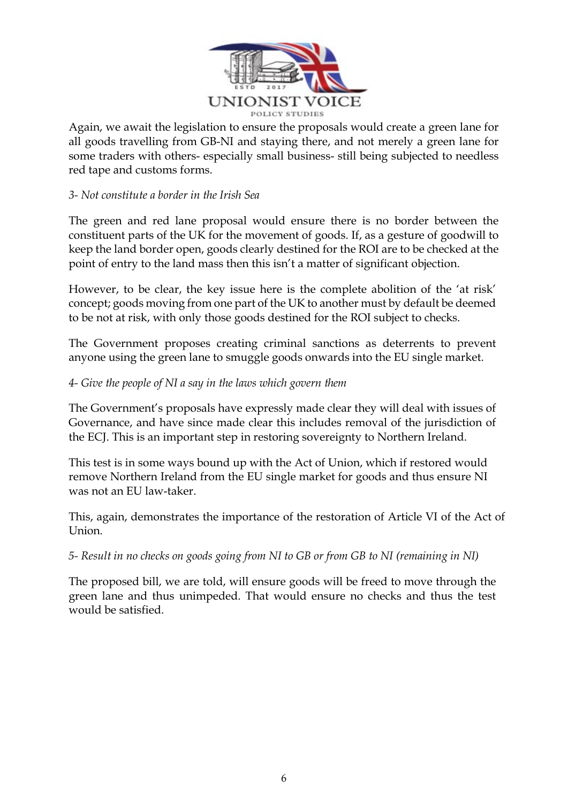

Again, we await the legislation to ensure the proposals would create a green lane for all goods travelling from GB-NI and staying there, and not merely a green lane for some traders with others- especially small business- still being subjected to needless red tape and customs forms.

# *3- Not constitute a border in the Irish Sea*

The green and red lane proposal would ensure there is no border between the constituent parts of the UK for the movement of goods. If, as a gesture of goodwill to keep the land border open, goods clearly destined for the ROI are to be checked at the point of entry to the land mass then this isn't a matter of significant objection.

However, to be clear, the key issue here is the complete abolition of the 'at risk' concept; goods moving from one part of the UK to another must by default be deemed to be not at risk, with only those goods destined for the ROI subject to checks.

The Government proposes creating criminal sanctions as deterrents to prevent anyone using the green lane to smuggle goods onwards into the EU single market.

#### *4- Give the people of NI a say in the laws which govern them*

The Government's proposals have expressly made clear they will deal with issues of Governance, and have since made clear this includes removal of the jurisdiction of the ECJ. This is an important step in restoring sovereignty to Northern Ireland.

This test is in some ways bound up with the Act of Union, which if restored would remove Northern Ireland from the EU single market for goods and thus ensure NI was not an EU law-taker.

This, again, demonstrates the importance of the restoration of Article VI of the Act of Union.

# *5- Result in no checks on goods going from NI to GB or from GB to NI (remaining in NI)*

The proposed bill, we are told, will ensure goods will be freed to move through the green lane and thus unimpeded. That would ensure no checks and thus the test would be satisfied.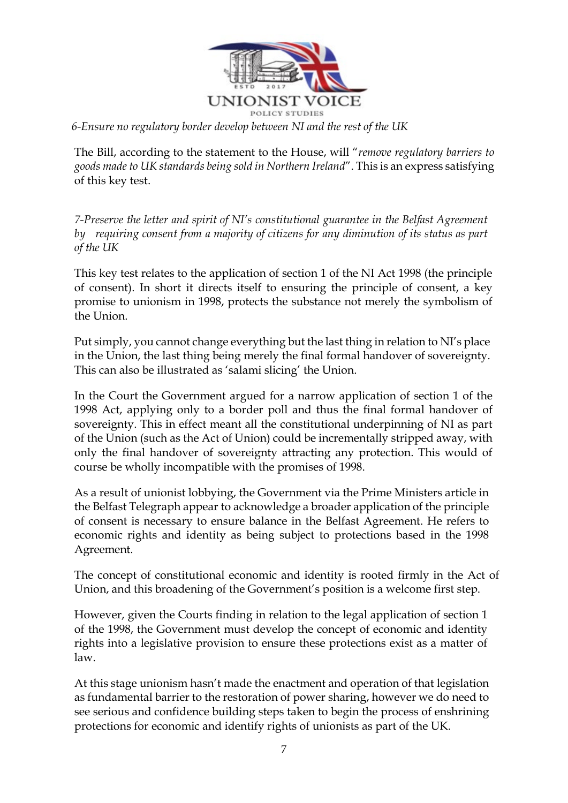

The Bill, according to the statement to the House, will "*remove regulatory barriers to goods made to UK standards being sold in Northern Ireland*". This is an express satisfying of this key test.

*7-Preserve the letter and spirit of NI's constitutional guarantee in the Belfast Agreement by requiring consent from a majority of citizens for any diminution of its status as part of the UK*

This key test relates to the application of section 1 of the NI Act 1998 (the principle of consent). In short it directs itself to ensuring the principle of consent, a key promise to unionism in 1998, protects the substance not merely the symbolism of the Union.

Put simply, you cannot change everything but the last thing in relation to NI's place in the Union, the last thing being merely the final formal handover of sovereignty. This can also be illustrated as 'salami slicing' the Union.

In the Court the Government argued for a narrow application of section 1 of the 1998 Act, applying only to a border poll and thus the final formal handover of sovereignty. This in effect meant all the constitutional underpinning of NI as part of the Union (such as the Act of Union) could be incrementally stripped away, with only the final handover of sovereignty attracting any protection. This would of course be wholly incompatible with the promises of 1998.

As a result of unionist lobbying, the Government via the Prime Ministers article in the Belfast Telegraph appear to acknowledge a broader application of the principle of consent is necessary to ensure balance in the Belfast Agreement. He refers to economic rights and identity as being subject to protections based in the 1998 Agreement.

The concept of constitutional economic and identity is rooted firmly in the Act of Union, and this broadening of the Government's position is a welcome first step.

However, given the Courts finding in relation to the legal application of section 1 of the 1998, the Government must develop the concept of economic and identity rights into a legislative provision to ensure these protections exist as a matter of law.

At this stage unionism hasn't made the enactment and operation of that legislation as fundamental barrier to the restoration of power sharing, however we do need to see serious and confidence building steps taken to begin the process of enshrining protections for economic and identify rights of unionists as part of the UK.